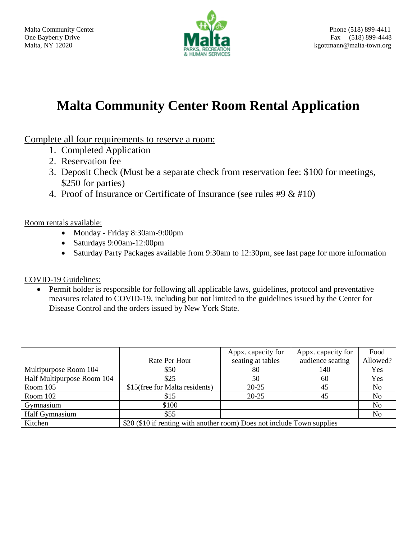

# **Malta Community Center Room Rental Application**

Complete all four requirements to reserve a room:

- 1. Completed Application
- 2. Reservation fee
- 3. Deposit Check (Must be a separate check from reservation fee: \$100 for meetings, \$250 for parties)
- 4. Proof of Insurance or Certificate of Insurance (see rules #9 & #10)

Room rentals available:

- Monday Friday 8:30am-9:00pm
- Saturdays 9:00am-12:00pm
- Saturday Party Packages available from 9:30am to 12:30pm, see last page for more information

COVID-19 Guidelines:

• Permit holder is responsible for following all applicable laws, guidelines, protocol and preventative measures related to COVID-19, including but not limited to the guidelines issued by the Center for Disease Control and the orders issued by New York State.

|                            |                                                                         | Appx. capacity for | Appx. capacity for | Food           |  |  |  |
|----------------------------|-------------------------------------------------------------------------|--------------------|--------------------|----------------|--|--|--|
|                            | Rate Per Hour                                                           | seating at tables  | audience seating   | Allowed?       |  |  |  |
| Multipurpose Room 104      | \$50                                                                    | 80                 | 140                | Yes            |  |  |  |
| Half Multipurpose Room 104 | \$25                                                                    | 50                 | 60                 | Yes            |  |  |  |
| Room 105                   | \$15(free for Malta residents)                                          | $20 - 25$          | 45                 | N <sub>0</sub> |  |  |  |
| Room 102                   | \$15                                                                    | $20 - 25$          | 45                 | N <sub>0</sub> |  |  |  |
| Gymnasium                  | \$100                                                                   |                    |                    | N <sub>0</sub> |  |  |  |
| Half Gymnasium             | \$55                                                                    |                    |                    | N <sub>0</sub> |  |  |  |
| Kitchen                    | \$20 (\$10 if renting with another room) Does not include Town supplies |                    |                    |                |  |  |  |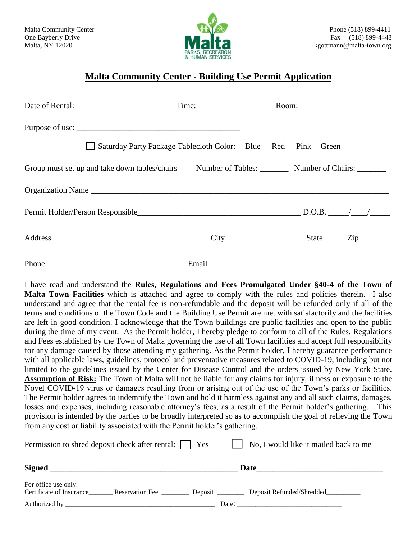

### **Malta Community Center - Building Use Permit Application**

| Saturday Party Package Tablecloth Color: Blue Red Pink Green                                        |                                                                                                                |  |  |  |
|-----------------------------------------------------------------------------------------------------|----------------------------------------------------------------------------------------------------------------|--|--|--|
| Group must set up and take down tables/chairs Number of Tables: Number of Chairs: Number of Chairs: |                                                                                                                |  |  |  |
|                                                                                                     |                                                                                                                |  |  |  |
|                                                                                                     |                                                                                                                |  |  |  |
|                                                                                                     |                                                                                                                |  |  |  |
|                                                                                                     | Email 2008 - 2008 - 2010 - 2010 - 2010 - 2010 - 2010 - 2010 - 2010 - 2010 - 2010 - 2010 - 2010 - 2010 - 2010 - |  |  |  |

I have read and understand the **Rules, Regulations and Fees Promulgated Under §40-4 of the Town of Malta Town Facilities** which is attached and agree to comply with the rules and policies therein. I also understand and agree that the rental fee is non-refundable and the deposit will be refunded only if all of the terms and conditions of the Town Code and the Building Use Permit are met with satisfactorily and the facilities are left in good condition. I acknowledge that the Town buildings are public facilities and open to the public during the time of my event. As the Permit holder, I hereby pledge to conform to all of the Rules, Regulations and Fees established by the Town of Malta governing the use of all Town facilities and accept full responsibility for any damage caused by those attending my gathering. As the Permit holder, I hereby guarantee performance with all applicable laws, guidelines, protocol and preventative measures related to COVID-19, including but not limited to the guidelines issued by the Center for Disease Control and the orders issued by New York State**. Assumption of Risk:** The Town of Malta will not be liable for any claims for injury, illness or exposure to the Novel COVID-19 virus or damages resulting from or arising out of the use of the Town's parks or facilities. The Permit holder agrees to indemnify the Town and hold it harmless against any and all such claims, damages, losses and expenses, including reasonable attorney's fees, as a result of the Permit holder's gathering. This provision is intended by the parties to be broadly interpreted so as to accomplish the goal of relieving the Town from any cost or liability associated with the Permit holder's gathering.

| Permission to shred deposit check after rental: \[ |                        | Yes     | No, I would like it mailed back to me |  |  |
|----------------------------------------------------|------------------------|---------|---------------------------------------|--|--|
| <b>Signed</b>                                      |                        | Date    |                                       |  |  |
| For office use only:<br>Certificate of Insurance   | <b>Reservation Fee</b> | Deposit | Deposit Refunded/Shredded             |  |  |
| Authorized by                                      |                        |         | Date:                                 |  |  |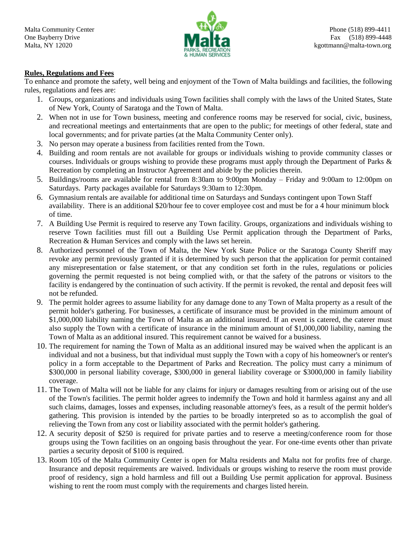

#### **Rules, Regulations and Fees**

To enhance and promote the safety, well being and enjoyment of the Town of Malta buildings and facilities, the following rules, regulations and fees are:

- 1. Groups, organizations and individuals using Town facilities shall comply with the laws of the United States, State of New York, County of Saratoga and the Town of Malta.
- 2. When not in use for Town business, meeting and conference rooms may be reserved for social, civic, business, and recreational meetings and entertainments that are open to the public; for meetings of other federal, state and local governments; and for private parties (at the Malta Community Center only).
- 3. No person may operate a business from facilities rented from the Town.
- 4. Building and room rentals are not available for groups or individuals wishing to provide community classes or courses. Individuals or groups wishing to provide these programs must apply through the Department of Parks & Recreation by completing an Instructor Agreement and abide by the policies therein.
- 5. Buildings/rooms are available for rental from 8:30am to 9:00pm Monday Friday and 9:00am to 12:00pm on Saturdays. Party packages available for Saturdays 9:30am to 12:30pm.
- 6. Gymnasium rentals are available for additional time on Saturdays and Sundays contingent upon Town Staff availability. There is an additional \$20/hour fee to cover employee cost and must be for a 4 hour minimum block of time.
- 7. A Building Use Permit is required to reserve any Town facility. Groups, organizations and individuals wishing to reserve Town facilities must fill out a Building Use Permit application through the Department of Parks, Recreation & Human Services and comply with the laws set herein.
- 8. Authorized personnel of the Town of Malta, the New York State Police or the Saratoga County Sheriff may revoke any permit previously granted if it is determined by such person that the application for permit contained any misrepresentation or false statement, or that any condition set forth in the rules, regulations or policies governing the permit requested is not being complied with, or that the safety of the patrons or visitors to the facility is endangered by the continuation of such activity. If the permit is revoked, the rental and deposit fees will not be refunded.
- 9. The permit holder agrees to assume liability for any damage done to any Town of Malta property as a result of the permit holder's gathering. For businesses, a certificate of insurance must be provided in the minimum amount of \$1,000,000 liability naming the Town of Malta as an additional insured. If an event is catered, the caterer must also supply the Town with a certificate of insurance in the minimum amount of \$1,000,000 liability, naming the Town of Malta as an additional insured. This requirement cannot be waived for a business.
- 10. The requirement for naming the Town of Malta as an additional insured may be waived when the applicant is an individual and not a business, but that individual must supply the Town with a copy of his homeowner's or renter's policy in a form acceptable to the Department of Parks and Recreation. The policy must carry a minimum of \$300,000 in personal liability coverage, \$300,000 in general liability coverage or \$3000,000 in family liability coverage.
- 11. The Town of Malta will not be liable for any claims for injury or damages resulting from or arising out of the use of the Town's facilities. The permit holder agrees to indemnify the Town and hold it harmless against any and all such claims, damages, losses and expenses, including reasonable attorney's fees, as a result of the permit holder's gathering. This provision is intended by the parties to be broadly interpreted so as to accomplish the goal of relieving the Town from any cost or liability associated with the permit holder's gathering.
- 12. A security deposit of \$250 is required for private parties and to reserve a meeting/conference room for those groups using the Town facilities on an ongoing basis throughout the year. For one-time events other than private parties a security deposit of \$100 is required.
- 13. Room 105 of the Malta Community Center is open for Malta residents and Malta not for profits free of charge. Insurance and deposit requirements are waived. Individuals or groups wishing to reserve the room must provide proof of residency, sign a hold harmless and fill out a Building Use permit application for approval. Business wishing to rent the room must comply with the requirements and charges listed herein.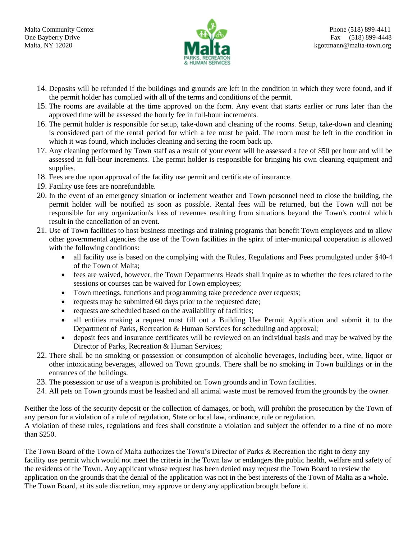

- 14. Deposits will be refunded if the buildings and grounds are left in the condition in which they were found, and if the permit holder has complied with all of the terms and conditions of the permit.
- 15. The rooms are available at the time approved on the form. Any event that starts earlier or runs later than the approved time will be assessed the hourly fee in full-hour increments.
- 16. The permit holder is responsible for setup, take-down and cleaning of the rooms. Setup, take-down and cleaning is considered part of the rental period for which a fee must be paid. The room must be left in the condition in which it was found, which includes cleaning and setting the room back up.
- 17. Any cleaning performed by Town staff as a result of your event will he assessed a fee of \$50 per hour and will be assessed in full-hour increments. The permit holder is responsible for bringing his own cleaning equipment and supplies.
- 18. Fees are due upon approval of the facility use permit and certificate of insurance.
- 19. Facility use fees are nonrefundable.
- 20. In the event of an emergency situation or inclement weather and Town personnel need to close the building, the permit holder will be notified as soon as possible. Rental fees will be returned, but the Town will not be responsible for any organization's loss of revenues resulting from situations beyond the Town's control which result in the cancellation of an event.
- 21. Use of Town facilities to host business meetings and training programs that benefit Town employees and to allow other governmental agencies the use of the Town facilities in the spirit of inter-municipal cooperation is allowed with the following conditions:
	- all facility use is based on the complying with the Rules, Regulations and Fees promulgated under §40-4 of the Town of Malta;
	- fees are waived, however, the Town Departments Heads shall inquire as to whether the fees related to the sessions or courses can be waived for Town employees;
	- Town meetings, functions and programming take precedence over requests;
	- requests may be submitted 60 days prior to the requested date;
	- requests are scheduled based on the availability of facilities;
	- all entities making a request must fill out a Building Use Permit Application and submit it to the Department of Parks, Recreation & Human Services for scheduling and approval;
	- deposit fees and insurance certificates will be reviewed on an individual basis and may be waived by the Director of Parks, Recreation & Human Services;
- 22. There shall be no smoking or possession or consumption of alcoholic beverages, including beer, wine, liquor or other intoxicating beverages, allowed on Town grounds. There shall be no smoking in Town buildings or in the entrances of the buildings.
- 23. The possession or use of a weapon is prohibited on Town grounds and in Town facilities.
- 24. All pets on Town grounds must be leashed and all animal waste must be removed from the grounds by the owner.

Neither the loss of the security deposit or the collection of damages, or both, will prohibit the prosecution by the Town of any person for a violation of a rule of regulation, State or local law, ordinance, rule or regulation.

A violation of these rules, regulations and fees shall constitute a violation and subject the offender to a fine of no more than \$250.

The Town Board of the Town of Malta authorizes the Town's Director of Parks & Recreation the right to deny any facility use permit which would not meet the criteria in the Town law or endangers the public health, welfare and safety of the residents of the Town. Any applicant whose request has been denied may request the Town Board to review the application on the grounds that the denial of the application was not in the best interests of the Town of Malta as a whole. The Town Board, at its sole discretion, may approve or deny any application brought before it.